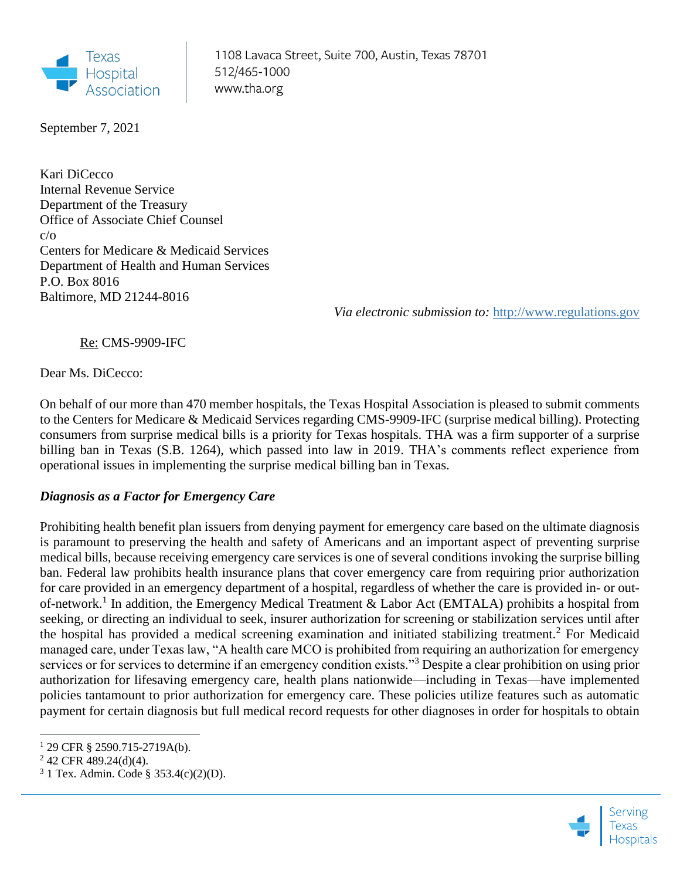

September 7, 2021

Kari DiCecco Internal Revenue Service Department of the Treasury Office of Associate Chief Counsel c/o Centers for Medicare & Medicaid Services Department of Health and Human Services P.O. Box 8016 Baltimore, MD 21244-8016

*Via electronic submission to:* [http://www.regulations.gov](http://www.regulations.gov/)

Re: CMS-9909-IFC

Dear Ms. DiCecco:

On behalf of our more than 470 member hospitals, the Texas Hospital Association is pleased to submit comments to the Centers for Medicare & Medicaid Services regarding CMS-9909-IFC (surprise medical billing). Protecting consumers from surprise medical bills is a priority for Texas hospitals. THA was a firm supporter of a surprise billing ban in Texas (S.B. 1264), which passed into law in 2019. THA's comments reflect experience from operational issues in implementing the surprise medical billing ban in Texas.

## *Diagnosis as a Factor for Emergency Care*

Prohibiting health benefit plan issuers from denying payment for emergency care based on the ultimate diagnosis is paramount to preserving the health and safety of Americans and an important aspect of preventing surprise medical bills, because receiving emergency care services is one of several conditions invoking the surprise billing ban. Federal law prohibits health insurance plans that cover emergency care from requiring prior authorization for care provided in an emergency department of a hospital, regardless of whether the care is provided in- or outof-network.<sup>1</sup> In addition, the Emergency Medical Treatment & Labor Act (EMTALA) prohibits a hospital from seeking, or directing an individual to seek, insurer authorization for screening or stabilization services until after the hospital has provided a medical screening examination and initiated stabilizing treatment.<sup>2</sup> For Medicaid managed care, under Texas law, "A health care MCO is prohibited from requiring an authorization for emergency services or for services to determine if an emergency condition exists."<sup>3</sup> Despite a clear prohibition on using prior authorization for lifesaving emergency care, health plans nationwide—including in Texas—have implemented policies tantamount to prior authorization for emergency care. These policies utilize features such as automatic payment for certain diagnosis but full medical record requests for other diagnoses in order for hospitals to obtain



<sup>1</sup> 29 CFR § 2590.715-2719A(b).

<sup>2</sup> 42 CFR 489.24(d)(4).

<sup>3</sup> 1 Tex. Admin. Code § 353.4(c)(2)(D).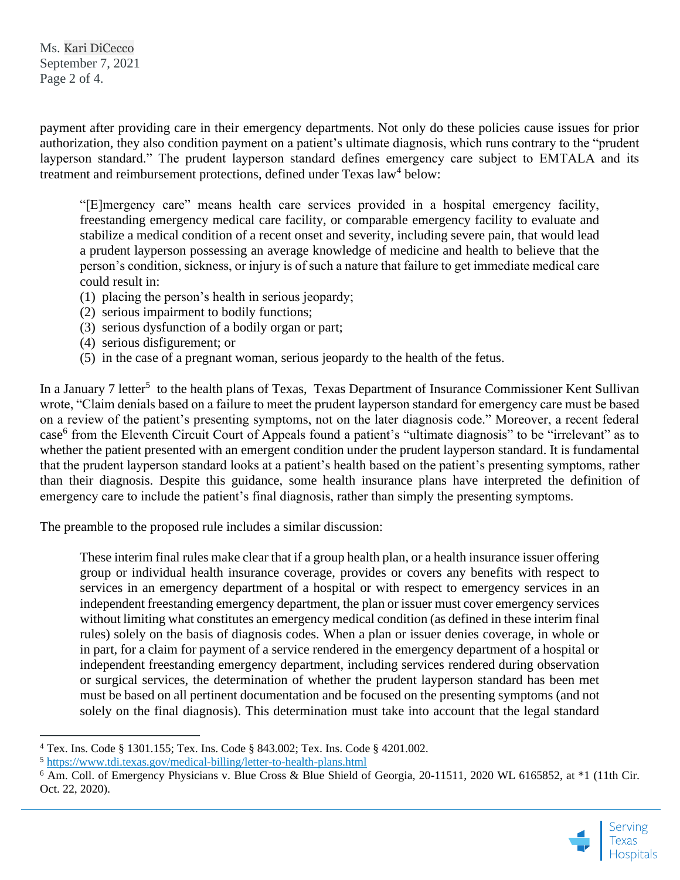Ms. Kari DiCecco September 7, 2021 Page 2 of 4.

payment after providing care in their emergency departments. Not only do these policies cause issues for prior authorization, they also condition payment on a patient's ultimate diagnosis, which runs contrary to the "prudent layperson standard." The prudent layperson standard defines emergency care subject to EMTALA and its treatment and reimbursement protections, defined under Texas law<sup>4</sup> below:

"[E]mergency care" means health care services provided in a hospital emergency facility, freestanding emergency medical care facility, or comparable emergency facility to evaluate and stabilize a medical condition of a recent onset and severity, including severe pain, that would lead a prudent layperson possessing an average knowledge of medicine and health to believe that the person's condition, sickness, or injury is of such a nature that failure to get immediate medical care could result in:

- (1) placing the person's health in serious jeopardy;
- (2) serious impairment to bodily functions;
- (3) serious dysfunction of a bodily organ or part;
- (4) serious disfigurement; or
- (5) in the case of a pregnant woman, serious jeopardy to the health of the fetus.

In a January 7 letter<sup>5</sup> to the health plans of Texas, Texas Department of Insurance Commissioner Kent Sullivan wrote, "Claim denials based on a failure to meet the prudent layperson standard for emergency care must be based on a review of the patient's presenting symptoms, not on the later diagnosis code." Moreover, a recent federal case<sup>6</sup> from the Eleventh Circuit Court of Appeals found a patient's "ultimate diagnosis" to be "irrelevant" as to whether the patient presented with an emergent condition under the prudent layperson standard. It is fundamental that the prudent layperson standard looks at a patient's health based on the patient's presenting symptoms, rather than their diagnosis. Despite this guidance, some health insurance plans have interpreted the definition of emergency care to include the patient's final diagnosis, rather than simply the presenting symptoms.

The preamble to the proposed rule includes a similar discussion:

These interim final rules make clear that if a group health plan, or a health insurance issuer offering group or individual health insurance coverage, provides or covers any benefits with respect to services in an emergency department of a hospital or with respect to emergency services in an independent freestanding emergency department, the plan or issuer must cover emergency services without limiting what constitutes an emergency medical condition (as defined in these interim final rules) solely on the basis of diagnosis codes. When a plan or issuer denies coverage, in whole or in part, for a claim for payment of a service rendered in the emergency department of a hospital or independent freestanding emergency department, including services rendered during observation or surgical services, the determination of whether the prudent layperson standard has been met must be based on all pertinent documentation and be focused on the presenting symptoms (and not solely on the final diagnosis). This determination must take into account that the legal standard

<sup>&</sup>lt;sup>6</sup> Am. Coll. of Emergency Physicians v. Blue Cross & Blue Shield of Georgia, 20-11511, 2020 WL 6165852, at \*1 (11th Cir. Oct. 22, 2020).



<sup>4</sup> Tex. Ins. Code § 1301.155; Tex. Ins. Code § 843.002; Tex. Ins. Code § 4201.002.

<sup>5</sup> <https://www.tdi.texas.gov/medical-billing/letter-to-health-plans.html>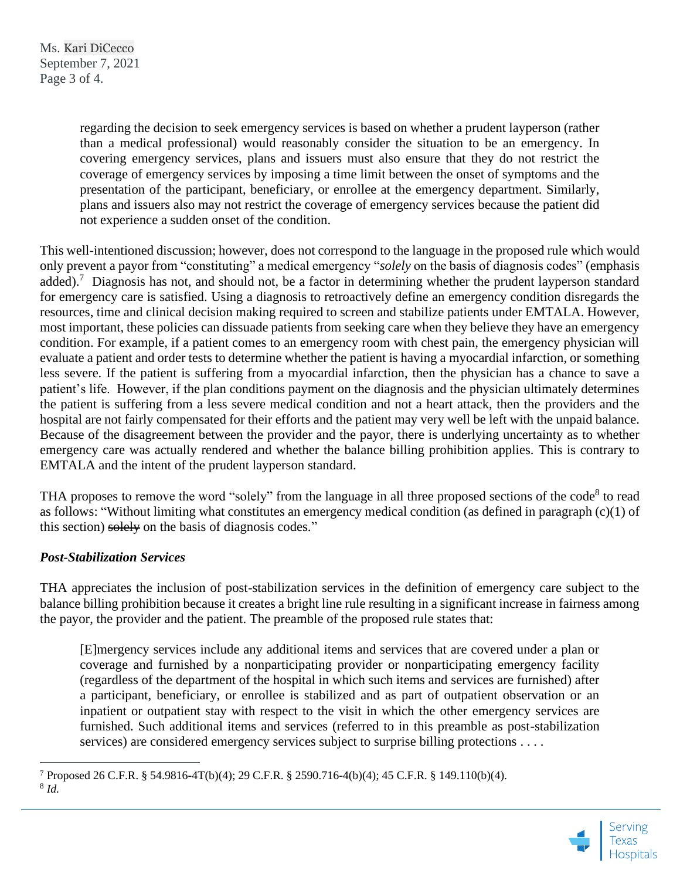regarding the decision to seek emergency services is based on whether a prudent layperson (rather than a medical professional) would reasonably consider the situation to be an emergency. In covering emergency services, plans and issuers must also ensure that they do not restrict the coverage of emergency services by imposing a time limit between the onset of symptoms and the presentation of the participant, beneficiary, or enrollee at the emergency department. Similarly, plans and issuers also may not restrict the coverage of emergency services because the patient did not experience a sudden onset of the condition.

This well-intentioned discussion; however, does not correspond to the language in the proposed rule which would only prevent a payor from "constituting" a medical emergency "*solely* on the basis of diagnosis codes" (emphasis added).<sup>7</sup> Diagnosis has not, and should not, be a factor in determining whether the prudent layperson standard for emergency care is satisfied. Using a diagnosis to retroactively define an emergency condition disregards the resources, time and clinical decision making required to screen and stabilize patients under EMTALA. However, most important, these policies can dissuade patients from seeking care when they believe they have an emergency condition. For example, if a patient comes to an emergency room with chest pain, the emergency physician will evaluate a patient and order tests to determine whether the patient is having a myocardial infarction, or something less severe. If the patient is suffering from a myocardial infarction, then the physician has a chance to save a patient's life. However, if the plan conditions payment on the diagnosis and the physician ultimately determines the patient is suffering from a less severe medical condition and not a heart attack, then the providers and the hospital are not fairly compensated for their efforts and the patient may very well be left with the unpaid balance. Because of the disagreement between the provider and the payor, there is underlying uncertainty as to whether emergency care was actually rendered and whether the balance billing prohibition applies. This is contrary to EMTALA and the intent of the prudent layperson standard.

THA proposes to remove the word "solely" from the language in all three proposed sections of the code<sup>8</sup> to read as follows: "Without limiting what constitutes an emergency medical condition (as defined in paragraph (c)(1) of this section) solely on the basis of diagnosis codes."

## *Post-Stabilization Services*

THA appreciates the inclusion of post-stabilization services in the definition of emergency care subject to the balance billing prohibition because it creates a bright line rule resulting in a significant increase in fairness among the payor, the provider and the patient. The preamble of the proposed rule states that:

[E]mergency services include any additional items and services that are covered under a plan or coverage and furnished by a nonparticipating provider or nonparticipating emergency facility (regardless of the department of the hospital in which such items and services are furnished) after a participant, beneficiary, or enrollee is stabilized and as part of outpatient observation or an inpatient or outpatient stay with respect to the visit in which the other emergency services are furnished. Such additional items and services (referred to in this preamble as post-stabilization services) are considered emergency services subject to surprise billing protections . . . .



<sup>7</sup> Proposed 26 C.F.R. § 54.9816-4T(b)(4); 29 C.F.R. § 2590.716-4(b)(4); 45 C.F.R. § 149.110(b)(4). 8 *Id.*